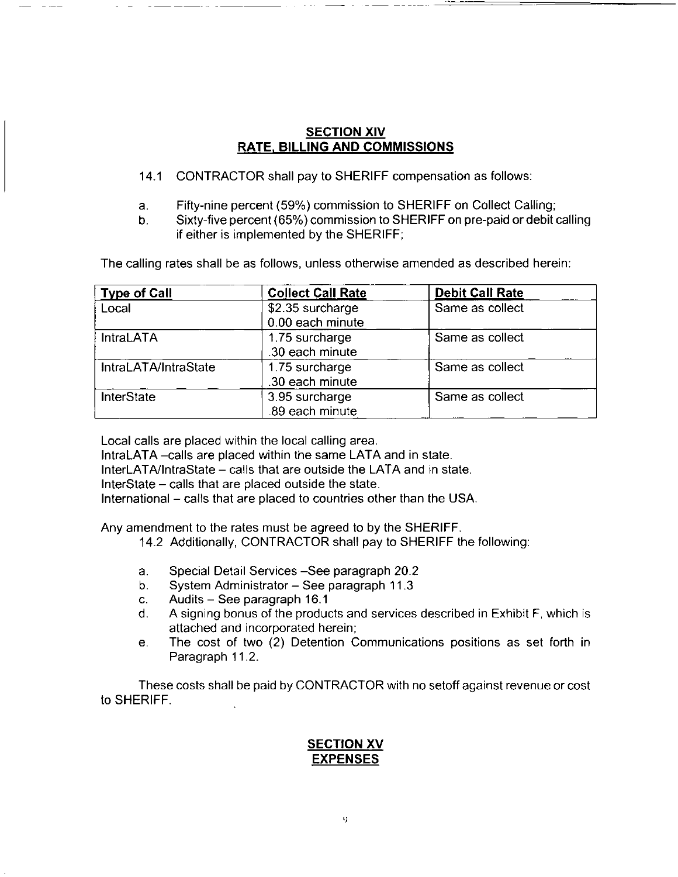#### **SECTION XIV RATE, BILLING AND COMMISSIONS**

- 14.1 CONTRACTOR shall pay to SHERIFF compensation as follows:
- Fifty-nine percent (59%) commission to SHERIFF on Collect Calling; a.
- Sixty-five percent (65%) commission to SHERIFF on pre-paid or debit calling  $b<sub>1</sub>$ if either is implemented by the SHERIFF;

The calling rates shall be as follows, unless otherwise amended as described herein:

| <b>Type of Call</b>  | <b>Collect Call Rate</b> | <b>Debit Call Rate</b> |
|----------------------|--------------------------|------------------------|
| Local                | \$2.35 surcharge         | Same as collect        |
|                      | 0.00 each minute         |                        |
| <b>IntraLATA</b>     | 1.75 surcharge           | Same as collect        |
|                      | .30 each minute          |                        |
| IntraLATA/IntraState | 1.75 surcharge           | Same as collect        |
|                      | .30 each minute          |                        |
| <b>InterState</b>    | 3.95 surcharge           | Same as collect        |
|                      | .89 each minute          |                        |

Local calls are placed within the local calling area.

IntraLATA - calls are placed within the same LATA and in state.

InterLATA/IntraState - calls that are outside the LATA and in state.

InterState – calls that are placed outside the state.

International – calls that are placed to countries other than the USA.

Any amendment to the rates must be agreed to by the SHERIFF.

- 14.2 Additionally, CONTRACTOR shall pay to SHERIFF the following:
- Special Detail Services See paragraph 20.2 a.
- System Administrator See paragraph 11.3  $b.$
- Audits See paragraph 16.1  $\mathbf{C}$ .
- A signing bonus of the products and services described in Exhibit F, which is d. attached and incorporated herein;
- The cost of two (2) Detention Communications positions as set forth in e. Paragraph 11.2.

These costs shall be paid by CONTRACTOR with no setoff against revenue or cost to SHERIFF.

### **SECTION XV EXPENSES**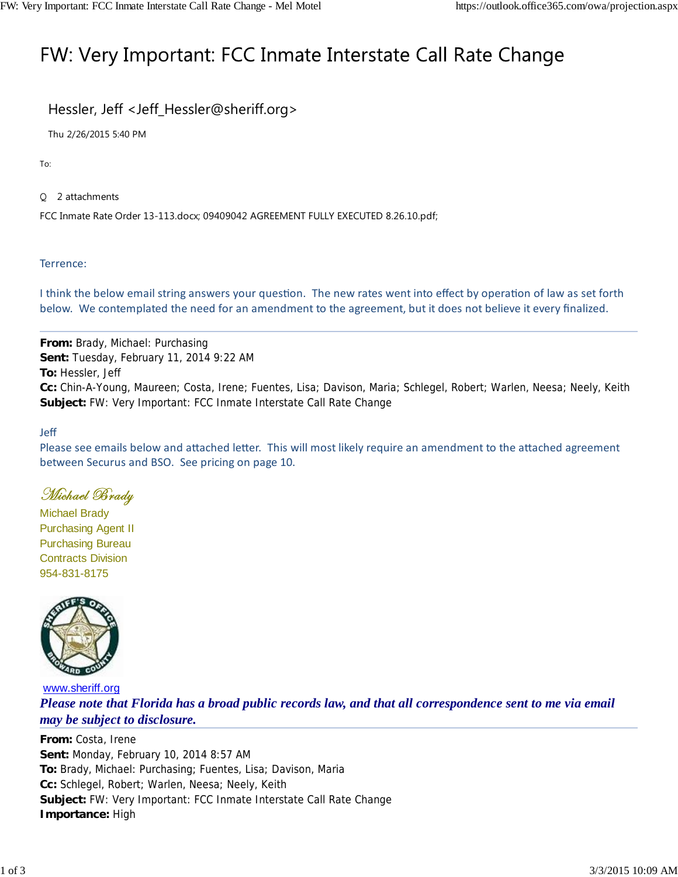# FW: Very Important: FCC Inmate Interstate Call Rate Change

### Hessler, Jeff <Jeff\_Hessler@sheriff.org>

Thu 2/26/2015 5:40 PM

To:

2 attachments

FCC Inmate Rate Order 13-113.docx; 09409042 AGREEMENT FULLY EXECUTED 8.26.10.pdf;

#### Terrence:

I think the below email string answers your question. The new rates went into effect by operation of law as set forth below. We contemplated the need for an amendment to the agreement, but it does not believe it every finalized.

**From:** Brady, Michael: Purchasing **Sent:** Tuesday, February 11, 2014 9:22 AM **To:** Hessler, Jeff **Cc:** Chin-A-Young, Maureen; Costa, Irene; Fuentes, Lisa; Davison, Maria; Schlegel, Robert; Warlen, Neesa; Neely, Keith **Subject:** FW: Very Important: FCC Inmate Interstate Call Rate Change

#### Jeff

Please see emails below and attached letter. This will most likely require an amendment to the attached agreement between Securus and BSO. See pricing on page 10.

### Michael Brady

Michael Brady Purchasing Agent II Purchasing Bureau Contracts Division 954-831-8175



www.sheriff.org *Please note that Florida has a broad public records law, and that all correspondence sent to me via email may be subject to disclosure.*

**From:** Costa, Irene **Sent:** Monday, February 10, 2014 8:57 AM **To:** Brady, Michael: Purchasing; Fuentes, Lisa; Davison, Maria **Cc:** Schlegel, Robert; Warlen, Neesa; Neely, Keith **Subject:** FW: Very Important: FCC Inmate Interstate Call Rate Change **Importance:** High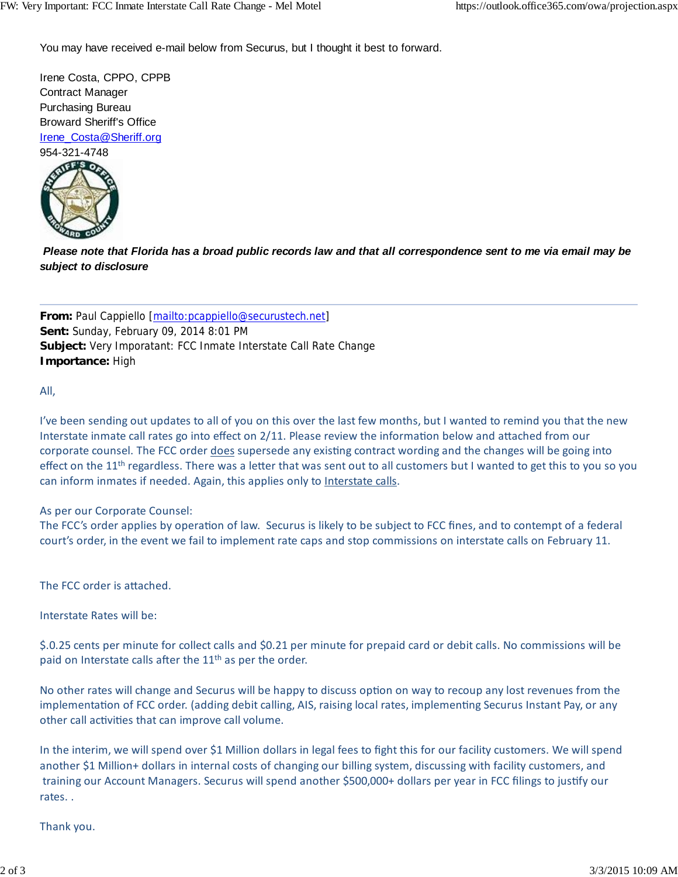You may have received e-mail below from Securus, but I thought it best to forward.

Irene Costa, CPPO, CPPB Contract Manager Purchasing Bureau Broward Sheriff's Office Irene\_Costa@Sheriff.org 954-321-4748



*Please note that Florida has a broad public records law and that all correspondence sent to me via email may be subject to disclosure*

**From:** Paul Cappiello [mailto:pcappiello@securustech.net] **Sent:** Sunday, February 09, 2014 8:01 PM **Subject:** Very Imporatant: FCC Inmate Interstate Call Rate Change **Importance:** High

All,

I've been sending out updates to all of you on this over the last few months, but I wanted to remind you that the new Interstate inmate call rates go into effect on 2/11. Please review the information below and attached from our corporate counsel. The FCC order does supersede any existing contract wording and the changes will be going into effect on the 11<sup>th</sup> regardless. There was a letter that was sent out to all customers but I wanted to get this to you so you can inform inmates if needed. Again, this applies only to Interstate calls.

#### As per our Corporate Counsel:

The FCC's order applies by operation of law. Securus is likely to be subject to FCC fines, and to contempt of a federal court's order, in the event we fail to implement rate caps and stop commissions on interstate calls on February 11.

The FCC order is attached.

Interstate Rates will be:

\$.0.25 cents per minute for collect calls and \$0.21 per minute for prepaid card or debit calls. No commissions will be paid on Interstate calls after the 11<sup>th</sup> as per the order.

No other rates will change and Securus will be happy to discuss option on way to recoup any lost revenues from the implementation of FCC order. (adding debit calling, AIS, raising local rates, implementing Securus Instant Pay, or any other call activities that can improve call volume.

In the interim, we will spend over \$1 Million dollars in legal fees to fight this for our facility customers. We will spend another \$1 Million+ dollars in internal costs of changing our billing system, discussing with facility customers, and training our Account Managers. Securus will spend another \$500,000+ dollars per year in FCC filings to justify our rates. .

Thank you.